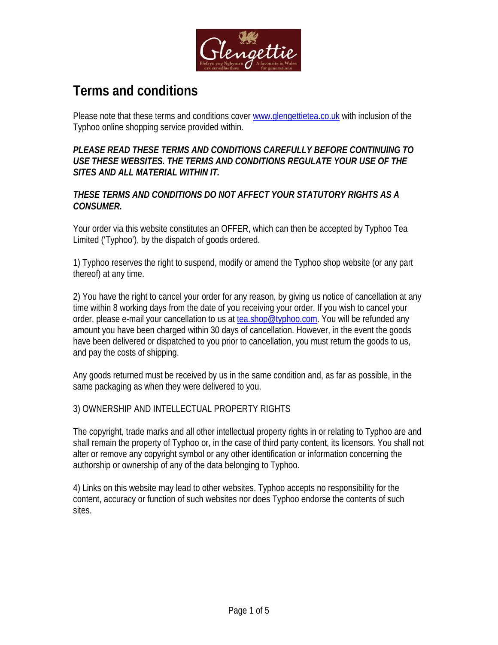

# **Terms and conditions**

Please note that these terms and conditions cover www.glengettietea.co.uk with inclusion of the Typhoo online shopping service provided within.

*PLEASE READ THESE TERMS AND CONDITIONS CAREFULLY BEFORE CONTINUING TO USE THESE WEBSITES. THE TERMS AND CONDITIONS REGULATE YOUR USE OF THE SITES AND ALL MATERIAL WITHIN IT.* 

*THESE TERMS AND CONDITIONS DO NOT AFFECT YOUR STATUTORY RIGHTS AS A CONSUMER.*

Your order via this website constitutes an OFFER, which can then be accepted by Typhoo Tea Limited ('Typhoo'), by the dispatch of goods ordered.

1) Typhoo reserves the right to suspend, modify or amend the Typhoo shop website (or any part thereof) at any time.

2) You have the right to cancel your order for any reason, by giving us notice of cancellation at any time within 8 working days from the date of you receiving your order. If you wish to cancel your order, please e-mail your cancellation to us at tea.shop@typhoo.com. You will be refunded any amount you have been charged within 30 days of cancellation. However, in the event the goods have been delivered or dispatched to you prior to cancellation, you must return the goods to us, and pay the costs of shipping.

Any goods returned must be received by us in the same condition and, as far as possible, in the same packaging as when they were delivered to you.

## 3) OWNERSHIP AND INTELLECTUAL PROPERTY RIGHTS

The copyright, trade marks and all other intellectual property rights in or relating to Typhoo are and shall remain the property of Typhoo or, in the case of third party content, its licensors. You shall not alter or remove any copyright symbol or any other identification or information concerning the authorship or ownership of any of the data belonging to Typhoo.

4) Links on this website may lead to other websites. Typhoo accepts no responsibility for the content, accuracy or function of such websites nor does Typhoo endorse the contents of such sites.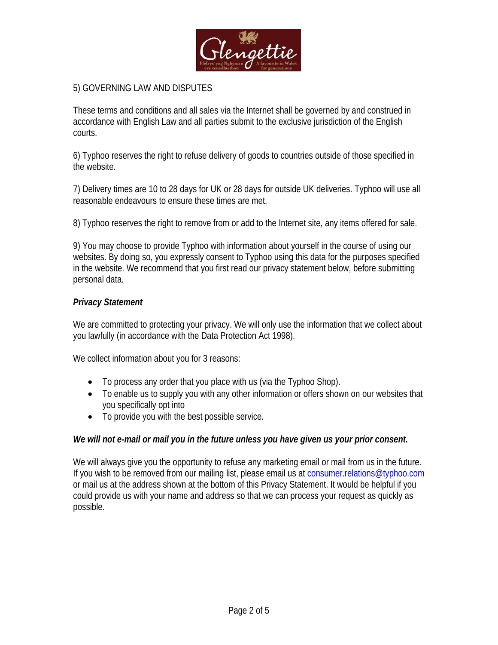

# 5) GOVERNING LAW AND DISPUTES

These terms and conditions and all sales via the Internet shall be governed by and construed in accordance with English Law and all parties submit to the exclusive jurisdiction of the English courts.

6) Typhoo reserves the right to refuse delivery of goods to countries outside of those specified in the website.

7) Delivery times are 10 to 28 days for UK or 28 days for outside UK deliveries. Typhoo will use all reasonable endeavours to ensure these times are met.

8) Typhoo reserves the right to remove from or add to the Internet site, any items offered for sale.

9) You may choose to provide Typhoo with information about yourself in the course of using our websites. By doing so, you expressly consent to Typhoo using this data for the purposes specified in the website. We recommend that you first read our privacy statement below, before submitting personal data.

### *Privacy Statement*

We are committed to protecting your privacy. We will only use the information that we collect about you lawfully (in accordance with the Data Protection Act 1998).

We collect information about you for 3 reasons:

- To process any order that you place with us (via the Typhoo Shop).
- To enable us to supply you with any other information or offers shown on our websites that you specifically opt into
- To provide you with the best possible service.

*We will not e-mail or mail you in the future unless you have given us your prior consent.*

We will always give you the opportunity to refuse any marketing email or mail from us in the future. If you wish to be removed from our mailing list, please email us at consumer. relations@typhoo.com or mail us at the address shown at the bottom of this Privacy Statement. It would be helpful if you could provide us with your name and address so that we can process your request as quickly as possible.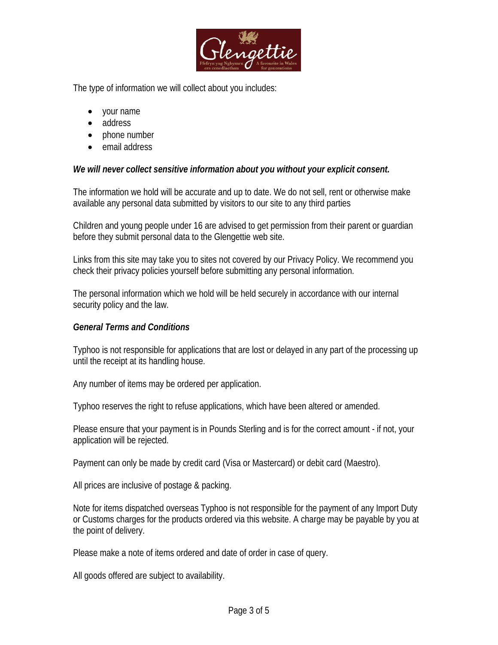

The type of information we will collect about you includes:

- your name
- address
- phone number
- email address

*We will never collect sensitive information about you without your explicit consent.* 

The information we hold will be accurate and up to date. We do not sell, rent or otherwise make available any personal data submitted by visitors to our site to any third parties

Children and young people under 16 are advised to get permission from their parent or guardian before they submit personal data to the Glengettie web site.

Links from this site may take you to sites not covered by our Privacy Policy. We recommend you check their privacy policies yourself before submitting any personal information.

The personal information which we hold will be held securely in accordance with our internal security policy and the law.

*General Terms and Conditions* 

Typhoo is not responsible for applications that are lost or delayed in any part of the processing up until the receipt at its handling house.

Any number of items may be ordered per application.

Typhoo reserves the right to refuse applications, which have been altered or amended.

Please ensure that your payment is in Pounds Sterling and is for the correct amount - if not, your application will be rejected.

Payment can only be made by credit card (Visa or Mastercard) or debit card (Maestro).

All prices are inclusive of postage & packing.

Note for items dispatched overseas Typhoo is not responsible for the payment of any Import Duty or Customs charges for the products ordered via this website. A charge may be payable by you at the point of delivery.

Please make a note of items ordered and date of order in case of query.

All goods offered are subject to availability.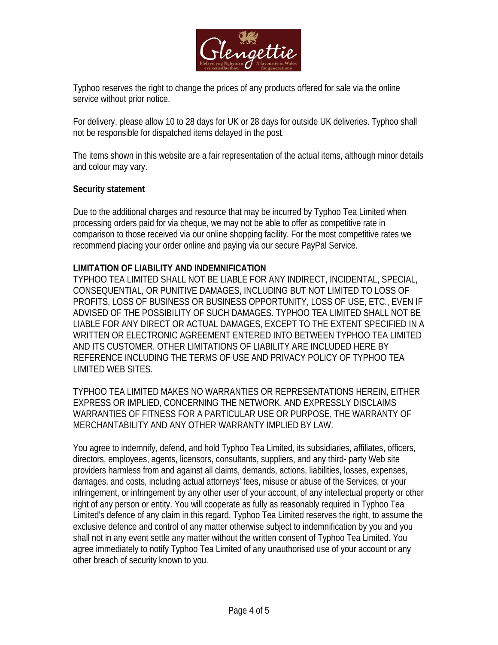

Typhoo reserves the right to change the prices of any products offered for sale via the online service without prior notice.

For delivery, please allow 10 to 28 days for UK or 28 days for outside UK deliveries. Typhoo shall not be responsible for dispatched items delayed in the post.

The items shown in this website are a fair representation of the actual items, although minor details and colour may vary.

#### **Security statement**

Due to the additional charges and resource that may be incurred by Typhoo Tea Limited when processing orders paid for via cheque, we may not be able to offer as competitive rate in comparison to those received via our online shopping facility. For the most competitive rates we recommend placing your order online and paying via our secure PayPal Service.

#### **LIMITATION OF LIABILITY AND INDEMNIFICATION**

TYPHOO TEA LIMITED SHALL NOT BE LIABLE FOR ANY INDIRECT, INCIDENTAL, SPECIAL, CONSEQUENTIAL, OR PUNITIVE DAMAGES, INCLUDING BUT NOT LIMITED TO LOSS OF PROFITS, LOSS OF BUSINESS OR BUSINESS OPPORTUNITY, LOSS OF USE, ETC., EVEN IF ADVISED OF THE POSSIBILITY OF SUCH DAMAGES. TYPHOO TEA LIMITED SHALL NOT BE LIABLE FOR ANY DIRECT OR ACTUAL DAMAGES, EXCEPT TO THE EXTENT SPECIFIED IN A WRITTEN OR ELECTRONIC AGREEMENT ENTERED INTO BETWEEN TYPHOO TEA LIMITED AND ITS CUSTOMER. OTHER LIMITATIONS OF LIABILITY ARE INCLUDED HERE BY REFERENCE INCLUDING THE TERMS OF USE AND PRIVACY POLICY OF TYPHOO TEA LIMITED WEB SITES.

TYPHOO TEA LIMITED MAKES NO WARRANTIES OR REPRESENTATIONS HEREIN, EITHER EXPRESS OR IMPLIED, CONCERNING THE NETWORK, AND EXPRESSLY DISCLAIMS WARRANTIES OF FITNESS FOR A PARTICULAR USE OR PURPOSE, THE WARRANTY OF MERCHANTABILITY AND ANY OTHER WARRANTY IMPLIED BY LAW.

You agree to indemnify, defend, and hold Typhoo Tea Limited, its subsidiaries, affiliates, officers, directors, employees, agents, licensors, consultants, suppliers, and any third- party Web site providers harmless from and against all claims, demands, actions, liabilities, losses, expenses, damages, and costs, including actual attorneys' fees, misuse or abuse of the Services, or your infringement, or infringement by any other user of your account, of any intellectual property or other right of any person or entity. You will cooperate as fully as reasonably required in Typhoo Tea Limited's defence of any claim in this regard. Typhoo Tea Limited reserves the right, to assume the exclusive defence and control of any matter otherwise subject to indemnification by you and you shall not in any event settle any matter without the written consent of Typhoo Tea Limited. You agree immediately to notify Typhoo Tea Limited of any unauthorised use of your account or any other breach of security known to you.